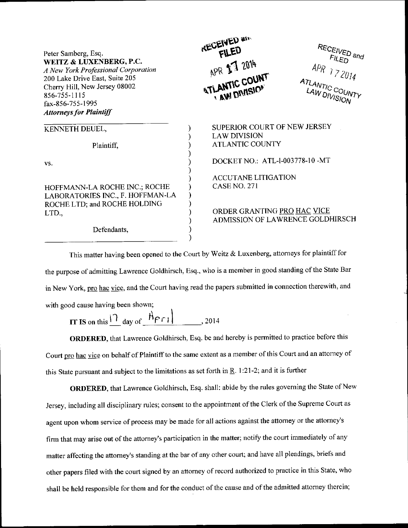| Peter Samberg, Esq.<br>WEITZ & LUXENBERG, P.C.<br>A New York Professional Corporation<br>200 Lake Drive East, Suite 205<br>Cherry Hill, New Jersey 08002<br>856-755-1115<br>fax-856-755-1995<br><b>Attorneys for Plaintiff</b> | <b>RECEIVED AIR</b><br>APR 17 2014<br><b>ATLANTIC COUNT</b><br><b>AW DIVISION</b> | RECEIVED and<br>$F_{\text{LED}}$<br>$APR$ 172014<br><b>ATLANTIC COUNTY</b><br>LAW DIVISION |  |
|--------------------------------------------------------------------------------------------------------------------------------------------------------------------------------------------------------------------------------|-----------------------------------------------------------------------------------|--------------------------------------------------------------------------------------------|--|
| KENNETH DEUEL,                                                                                                                                                                                                                 |                                                                                   | SUPERIOR COURT OF NEW JERSEY                                                               |  |
|                                                                                                                                                                                                                                | <b>LAW DIVISION</b>                                                               |                                                                                            |  |
| Plaintiff,                                                                                                                                                                                                                     | <b>ATLANTIC COUNTY</b>                                                            |                                                                                            |  |
|                                                                                                                                                                                                                                |                                                                                   |                                                                                            |  |
| VS.                                                                                                                                                                                                                            | DOCKET NO.: ATL-1-003778-10-MT                                                    |                                                                                            |  |
|                                                                                                                                                                                                                                | <b>ACCUTANE LITIGATION</b>                                                        |                                                                                            |  |
|                                                                                                                                                                                                                                |                                                                                   |                                                                                            |  |
| HOFFMANN-LA ROCHE INC.; ROCHE                                                                                                                                                                                                  | <b>CASE NO. 271</b>                                                               |                                                                                            |  |
| LABORATORIES INC., F. HOFFMAN-LA                                                                                                                                                                                               |                                                                                   |                                                                                            |  |
| ROCHE LTD; and ROCHE HOLDING                                                                                                                                                                                                   |                                                                                   |                                                                                            |  |
| LTD.,                                                                                                                                                                                                                          | ORDER GRANTING PRO HAC VICE                                                       |                                                                                            |  |
|                                                                                                                                                                                                                                | ADMISSION OF LAWRENCE GOLDHIRSCH                                                  |                                                                                            |  |
| Defendants,                                                                                                                                                                                                                    |                                                                                   |                                                                                            |  |
|                                                                                                                                                                                                                                |                                                                                   |                                                                                            |  |

This matter having been opened to the Court by Weitz  $\&$  Luxenberg, attorneys for plaintiff for the purpose of admitting Lawrence Goldhirsch, Esq., who is a member in good standing of the State Bar in New York, pro hac vice, and the Court having read the papers submitted in connection therewith, and with good cause having been shown;

IT IS on this  $\left| \frac{1}{\sqrt{2}} \right|$  day of  $\left| \frac{H_{\text{PT}}}{H_{\text{PT}}} \right|$ , 2014

ORDERED, that Lawrence Goldhirsch, Esq. be and hereby is permitted to practice before this Court pro hac vice on behalf of Plaintiff to the same extent as a member of this Court and an attorney of this State pursuant and subject to the limitations as set forth in  $\underline{R}$ . 1:21-2; and it is further

ORDERED, that Lawrence Goldhirsch, Esq. shall: abide by the rules governing the State of New Jersey, including all disciplinary rules; consent to the appointment of the Clerk of the Supreme Court as agent upon whom service of process may be made for all actions against the attorney or the attorney's firm that may arise out of the attomey's participation in the matter; notiry the court immediately of any matter affecting the attorney's standing at the bar of any other court; and have all pleadings, briefs and other papers filed with the court signed by an attorney of record authorized to practice in this State, who shall be held responsible for them and for the conduct of the cause and of the admitted attorney therein;